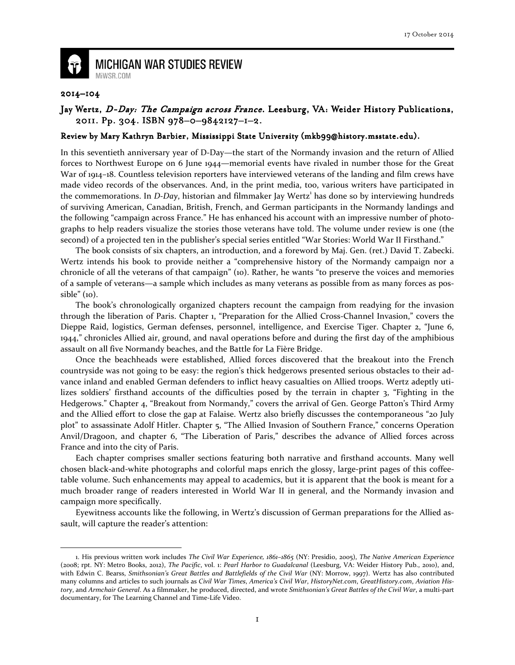

## **MICHIGAN WAR STUDIES REVIEW** MiWSR.COM

## 2014–104

 $\overline{\phantom{0}}$ 

## Jay Wertz, D-Day: The Campaign across France. Leesburg, VA: Weider History Publications, 2011. Pp. 304. ISBN 978-0-9842127-1-2.

## Review by Mary Kathryn Barbier, Mississippi State University (mkb99@history.msstate.edu).

In this seventieth anniversary year of D-Day—the start of the Normandy invasion and the return of Allied forces to Northwest Europe on 6 June 1944—memorial events have rivaled in number those for the Great War of 1914–18. Countless television reporters have interviewed veterans of the landing and film crews have made video records of the observances. And, in the print media, too, various writers have participated in the commemorations. In D-Day, historian and filmmaker Jay Wertz<sup>1</sup> has done so by interviewing hundreds of surviving American, Canadian, British, French, and German participants in the Normandy landings and the following "campaign across France." He has enhanced his account with an impressive number of photographs to help readers visualize the stories those veterans have told. The volume under review is one (the second) of a projected ten in the publisher's special series entitled "War Stories: World War II Firsthand."

The book consists of six chapters, an introduction, and a foreword by Maj. Gen. (ret.) David T. Zabecki. Wertz intends his book to provide neither a "comprehensive history of the Normandy campaign nor a chronicle of all the veterans of that campaign" (10). Rather, he wants "to preserve the voices and memories of a sample of veterans—a sample which includes as many veterans as possible from as many forces as possible" (10).

The book's chronologically organized chapters recount the campaign from readying for the invasion through the liberation of Paris. Chapter 1, "Preparation for the Allied Cross-Channel Invasion," covers the Dieppe Raid, logistics, German defenses, personnel, intelligence, and Exercise Tiger. Chapter 2, "June 6, 1944," chronicles Allied air, ground, and naval operations before and during the first day of the amphibious assault on all five Normandy beaches, and the Battle for La Fière Bridge.

Once the beachheads were established, Allied forces discovered that the breakout into the French countryside was not going to be easy: the region's thick hedgerows presented serious obstacles to their advance inland and enabled German defenders to inflict heavy casualties on Allied troops. Wertz adeptly utilizes soldiers' firsthand accounts of the difficulties posed by the terrain in chapter 3, "Fighting in the Hedgerows." Chapter 4, "Breakout from Normandy," covers the arrival of Gen. George Patton's Third Army and the Allied effort to close the gap at Falaise. Wertz also briefly discusses the contemporaneous "20 July plot" to assassinate Adolf Hitler. Chapter 5, "The Allied Invasion of Southern France," concerns Operation Anvil/Dragoon, and chapter 6, "The Liberation of Paris," describes the advance of Allied forces across France and into the city of Paris.

Each chapter comprises smaller sections featuring both narrative and firsthand accounts. Many well chosen black-and-white photographs and colorful maps enrich the glossy, large-print pages of this coffeetable volume. Such enhancements may appeal to academics, but it is apparent that the book is meant for a much broader range of readers interested in World War II in general, and the Normandy invasion and campaign more specifically.

Eyewitness accounts like the following, in Wertz's discussion of German preparations for the Allied assault, will capture the reader's attention:

<sup>1.</sup> His previous written work includes The Civil War Experience, 1861–1865 (NY: Presidio, 2005), The Native American Experience (2008; rpt. NY: Metro Books, 2012), The Pacific, vol. 1: Pearl Harbor to Guadalcanal (Leesburg, VA: Weider History Pub., 2010), and, with Edwin C. Bearss, Smithsonian's Great Battles and Battlefields of the Civil War (NY: Morrow, 1997). Wertz has also contributed many columns and articles to such journals as Civil War Times, America's Civil War, HistoryNet.com, GreatHistory.com, Aviation History, and Armchair General. As a filmmaker, he produced, directed, and wrote Smithsonian's Great Battles of the Civil War, a multi-part documentary, for The Learning Channel and Time-Life Video.